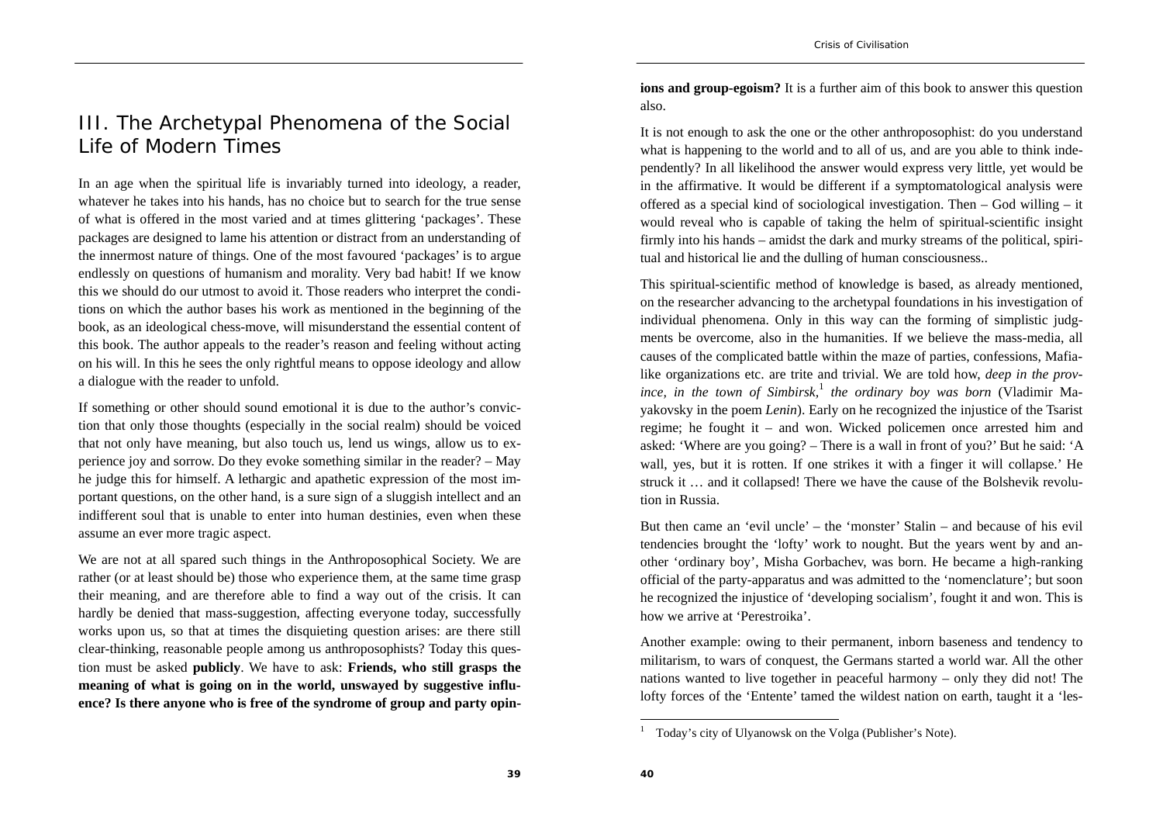## III. The Archetypal Phenomena of the Social Life of Modern Times

In an age when the spiritual life is invariably turned into ideology, a reader, whatever he takes into his hands, has no choice but to search for the true sense of what is offered in the most varied and at times glittering 'packages'. These packages are designed to lame his attention or distract from an understanding of the innermost nature of things. One of the most favoured 'packages' is to argue endlessly on questions of humanism and morality. Very bad habit! If we know this we should do our utmost to avoid it. Those readers who interpret the conditions on which the author bases his work as mentioned in the beginning of the book, as an ideological chess-move, will misunderstand the essential content of this book. The author appeals to the reader's reason and feeling without acting on his will. In this he sees the only rightful means to oppose ideology and allow a dialogue with the reader to unfold.

If something or other should sound emotional it is due to the author's conviction that only those thoughts (especially in the social realm) should be voiced that not only have meaning, but also touch us, lend us wings, allow us to experience joy and sorrow. Do they evoke something similar in the reader? – May he judge this for himself. A lethargic and apathetic expression of the most important questions, on the other hand, is a sure sign of a sluggish intellect and an indifferent soul that is unable to enter into human destinies, even when these assume an ever more tragic aspect.

We are not at all spared such things in the Anthroposophical Society. We are rather (or at least should be) those who experience them, at the same time grasp their meaning, and are therefore able to find a way out of the crisis. It can hardly be denied that mass-suggestion, affecting everyone today, successfully works upon us, so that at times the disquieting question arises: are there still clear-thinking, reasonable people among us anthroposophists? Today this question must be asked **publicly**. We have to ask: **Friends, who still grasps the meaning of what is going on in the world, unswayed by suggestive influence? Is there anyone who is free of the syndrome of group and party opin-** **ions and group-egoism?** It is a further aim of this book to answer this question also.

It is not enough to ask the one or the other anthroposophist: do you understand what is happening to the world and to all of us, and are you able to think independently? In all likelihood the answer would express very little, yet would be in the affirmative. It would be different if a symptomatological analysis were offered as a special kind of sociological investigation. Then – God willing – it would reveal who is capable of taking the helm of spiritual-scientific insight firmly into his hands – amidst the dark and murky streams of the political, spiritual and historical lie and the dulling of human consciousness..

This spiritual-scientific method of knowledge is based, as already mentioned, on the researcher advancing to the archetypal foundations in his investigation of individual phenomena. Only in this way can the forming of simplistic judgments be overcome, also in the humanities. If we believe the mass-media, all causes of the complicated battle within the maze of parties, confessions, Mafialike organizations etc. are trite and trivial. We are told how, *deep in the prov*ince, in the town of Simbirsk,<sup>1</sup> the ordinary boy was born (Vladimir Mayakovsky in the poem *Lenin*). Early on he recognized the injustice of the Tsarist regime; he fought it – and won. Wicked policemen once arrested him and asked: 'Where are you going? – There is a wall in front of you?' But he said: 'A wall, yes, but it is rotten. If one strikes it with a finger it will collapse.' He struck it … and it collapsed! There we have the cause of the Bolshevik revolution in Russia.

But then came an 'evil uncle' – the 'monster' Stalin – and because of his evil tendencies brought the 'lofty' work to nought. But the years went by and another 'ordinary boy', Misha Gorbachev, was born. He became a high-ranking official of the party-apparatus and was admitted to the 'nomenclature'; but soon he recognized the injustice of 'developing socialism', fought it and won. This is how we arrive at 'Perestroika'.

Another example: owing to their permanent, inborn baseness and tendency to militarism, to wars of conquest, the Germans started a world war. All the other nations wanted to live together in peaceful harmony – only they did not! The lofty forces of the 'Entente' tamed the wildest nation on earth, taught it a 'les-

<sup>&</sup>lt;sup>1</sup> Today's city of Ulyanowsk on the Volga (Publisher's Note).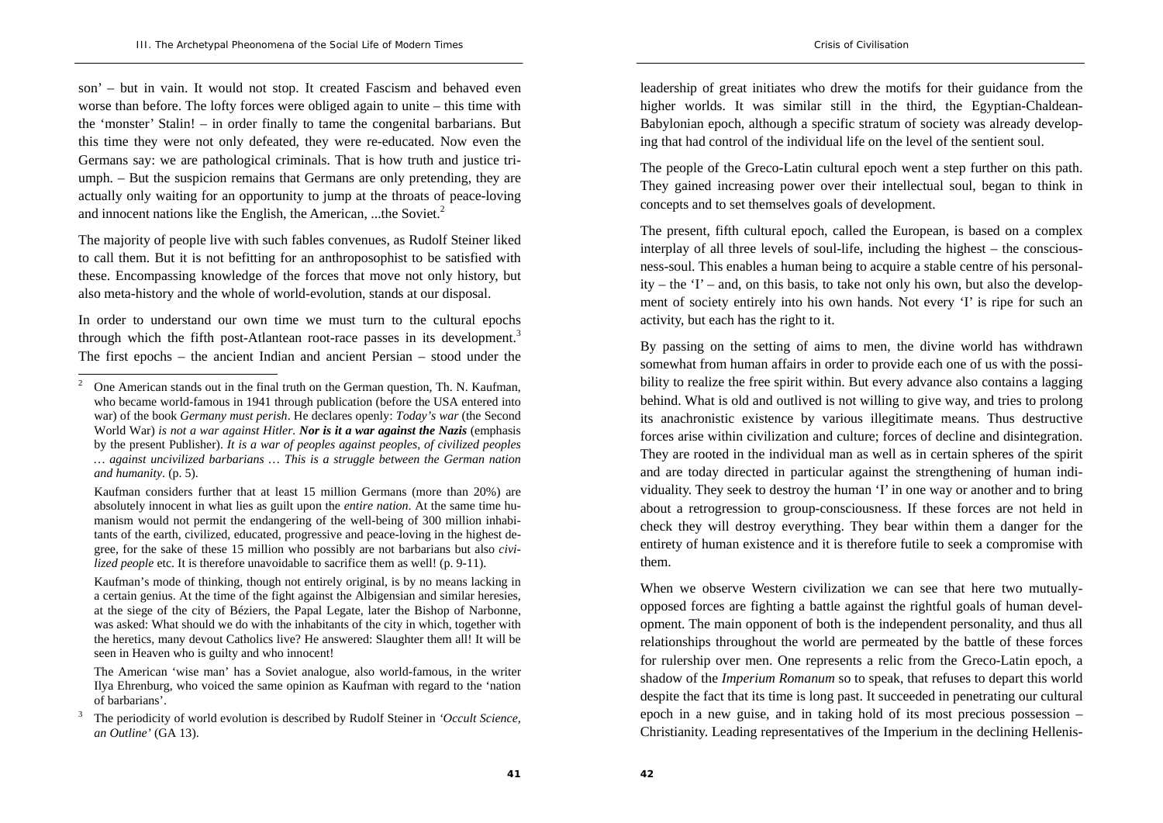son' – but in vain. It would not stop. It created Fascism and behaved even worse than before. The lofty forces were obliged again to unite – this time with the 'monster' Stalin! – in order finally to tame the congenital barbarians. But this time they were not only defeated, they were re-educated. Now even the Germans say: we are pathological criminals. That is how truth and justice triumph. – But the suspicion remains that Germans are only pretending, they are actually only waiting for an opportunity to jump at the throats of peace-loving and innocent nations like the English, the American, ...the Soviet.<sup>2</sup>

The majority of people live with such fables convenues, as Rudolf Steiner liked to call them. But it is not befitting for an anthroposophist to be satisfied with these. Encompassing knowledge of the forces that move not only history, but also meta-history and the whole of world-evolution, stands at our disposal.

In order to understand our own time we must turn to the cultural epochs through which the fifth post-Atlantean root-race passes in its development.<sup>3</sup> The first epochs – the ancient Indian and ancient Persian – stood under the

leadership of great initiates who drew the motifs for their guidance from the higher worlds. It was similar still in the third, the Egyptian-Chaldean-Babylonian epoch, although a specific stratum of society was already developing that had control of the individual life on the level of the sentient soul.

The people of the Greco-Latin cultural epoch went a step further on this path. They gained increasing power over their intellectual soul, began to think in concepts and to set themselves goals of development.

The present, fifth cultural epoch, called the European, is based on a complex interplay of all three levels of soul-life, including the highest – the consciousness-soul. This enables a human being to acquire a stable centre of his personality – the 'I' – and, on this basis, to take not only his own, but also the development of society entirely into his own hands. Not every 'I' is ripe for such an activity, but each has the right to it.

By passing on the setting of aims to men, the divine world has withdrawn somewhat from human affairs in order to provide each one of us with the possibility to realize the free spirit within. But every advance also contains a lagging behind. What is old and outlived is not willing to give way, and tries to prolong its anachronistic existence by various illegitimate means. Thus destructive forces arise within civilization and culture; forces of decline and disintegration. They are rooted in the individual man as well as in certain spheres of the spirit and are today directed in particular against the strengthening of human individuality. They seek to destroy the human 'I' in one way or another and to bring about a retrogression to group-consciousness. If these forces are not held in check they will destroy everything. They bear within them a danger for the entirety of human existence and it is therefore futile to seek a compromise with them.

When we observe Western civilization we can see that here two mutuallyopposed forces are fighting a battle against the rightful goals of human development. The main opponent of both is the independent personality, and thus all relationships throughout the world are permeated by the battle of these forces for rulership over men. One represents a relic from the Greco-Latin epoch, a shadow of the *Imperium Romanum* so to speak, that refuses to depart this world despite the fact that its time is long past. It succeeded in penetrating our cultural epoch in a new guise, and in taking hold of its most precious possession – Christianity. Leading representatives of the Imperium in the declining Hellenis-

<sup>&</sup>lt;sup>2</sup> One American stands out in the final truth on the German question, Th. N. Kaufman, who became world-famous in 1941 through publication (before the USA entered into war) of the book *Germany must perish*. He declares openly: *Today's war* (the Second World War) *is not a war against Hitler. Nor is it a war against the Nazis* (emphasis by the present Publisher). *It is a war of peoples against peoples, of civilized peoples … against uncivilized barbarians … This is a struggle between the German nation and humanity*. (p. 5).

Kaufman considers further that at least 15 million Germans (more than 20%) are absolutely innocent in what lies as guilt upon the *entire nation*. At the same time humanism would not permit the endangering of the well-being of 300 million inhabitants of the earth, civilized, educated, progressive and peace-loving in the highest degree, for the sake of these 15 million who possibly are not barbarians but also *civilized people* etc. It is therefore unavoidable to sacrifice them as well! (p. 9-11).

Kaufman's mode of thinking, though not entirely original, is by no means lacking in a certain genius. At the time of the fight against the Albigensian and similar heresies, at the siege of the city of Béziers, the Papal Legate, later the Bishop of Narbonne, was asked: What should we do with the inhabitants of the city in which, together with the heretics, many devout Catholics live? He answered: Slaughter them all! It will be seen in Heaven who is guilty and who innocent!

The American 'wise man' has a Soviet analogue, also world-famous, in the writer Ilya Ehrenburg, who voiced the same opinion as Kaufman with regard to the 'nation of barbarians'.

<sup>3</sup> The periodicity of world evolution is described by Rudolf Steiner in *'Occult Science, an Outline'* (GA 13).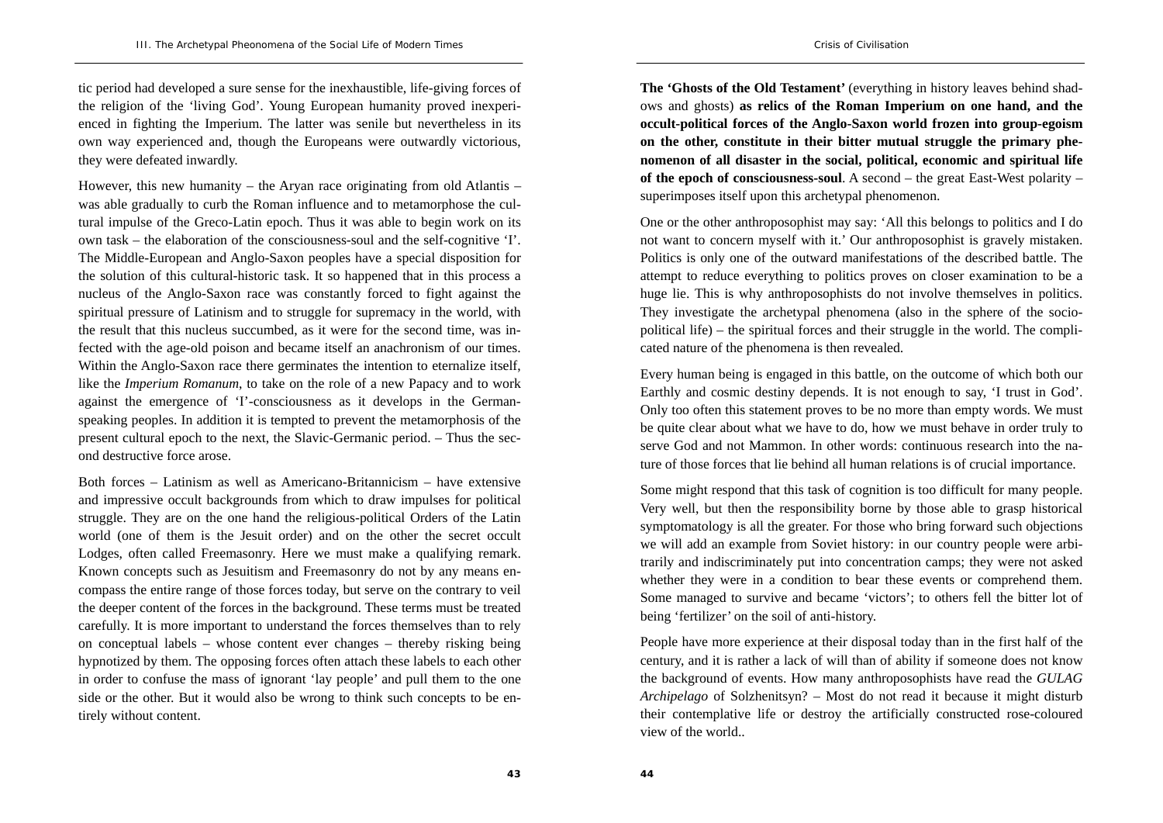tic period had developed a sure sense for the inexhaustible, life-giving forces of the religion of the 'living God'. Young European humanity proved inexperienced in fighting the Imperium. The latter was senile but nevertheless in its own way experienced and, though the Europeans were outwardly victorious, they were defeated inwardly.

However, this new humanity – the Aryan race originating from old Atlantis – was able gradually to curb the Roman influence and to metamorphose the cultural impulse of the Greco-Latin epoch. Thus it was able to begin work on its own task – the elaboration of the consciousness-soul and the self-cognitive 'I'. The Middle-European and Anglo-Saxon peoples have a special disposition for the solution of this cultural-historic task. It so happened that in this process a nucleus of the Anglo-Saxon race was constantly forced to fight against the spiritual pressure of Latinism and to struggle for supremacy in the world, with the result that this nucleus succumbed, as it were for the second time, was infected with the age-old poison and became itself an anachronism of our times. Within the Anglo-Saxon race there germinates the intention to eternalize itself, like the *Imperium Romanum*, to take on the role of a new Papacy and to work against the emergence of 'I'-consciousness as it develops in the Germanspeaking peoples. In addition it is tempted to prevent the metamorphosis of the present cultural epoch to the next, the Slavic-Germanic period. – Thus the second destructive force arose.

Both forces – Latinism as well as Americano-Britannicism – have extensive and impressive occult backgrounds from which to draw impulses for political struggle. They are on the one hand the religious-political Orders of the Latin world (one of them is the Jesuit order) and on the other the secret occult Lodges, often called Freemasonry. Here we must make a qualifying remark. Known concepts such as Jesuitism and Freemasonry do not by any means encompass the entire range of those forces today, but serve on the contrary to veil the deeper content of the forces in the background. These terms must be treated carefully. It is more important to understand the forces themselves than to rely on conceptual labels – whose content ever changes – thereby risking being hypnotized by them. The opposing forces often attach these labels to each other in order to confuse the mass of ignorant 'lay people' and pull them to the one side or the other. But it would also be wrong to think such concepts to be entirely without content.

**The 'Ghosts of the Old Testament'** (everything in history leaves behind shadows and ghosts) **as relics of the Roman Imperium on one hand, and the occult-political forces of the Anglo-Saxon world frozen into group-egoism on the other, constitute in their bitter mutual struggle the primary phenomenon of all disaster in the social, political, economic and spiritual life of the epoch of consciousness-soul**. A second – the great East-West polarity – superimposes itself upon this archetypal phenomenon.

One or the other anthroposophist may say: 'All this belongs to politics and I do not want to concern myself with it.' Our anthroposophist is gravely mistaken. Politics is only one of the outward manifestations of the described battle. The attempt to reduce everything to politics proves on closer examination to be a huge lie. This is why anthroposophists do not involve themselves in politics. They investigate the archetypal phenomena (also in the sphere of the sociopolitical life) – the spiritual forces and their struggle in the world. The complicated nature of the phenomena is then revealed.

Every human being is engaged in this battle, on the outcome of which both our Earthly and cosmic destiny depends. It is not enough to say, 'I trust in God'. Only too often this statement proves to be no more than empty words. We must be quite clear about what we have to do, how we must behave in order truly to serve God and not Mammon. In other words: continuous research into the nature of those forces that lie behind all human relations is of crucial importance.

Some might respond that this task of cognition is too difficult for many people. Very well, but then the responsibility borne by those able to grasp historical symptomatology is all the greater. For those who bring forward such objections we will add an example from Soviet history: in our country people were arbitrarily and indiscriminately put into concentration camps; they were not asked whether they were in a condition to bear these events or comprehend them. Some managed to survive and became 'victors'; to others fell the bitter lot of being 'fertilizer' on the soil of anti-history.

People have more experience at their disposal today than in the first half of the century, and it is rather a lack of will than of ability if someone does not know the background of events. How many anthroposophists have read the *GULAG Archipelago* of Solzhenitsyn? – Most do not read it because it might disturb their contemplative life or destroy the artificially constructed rose-coloured view of the world..

**43**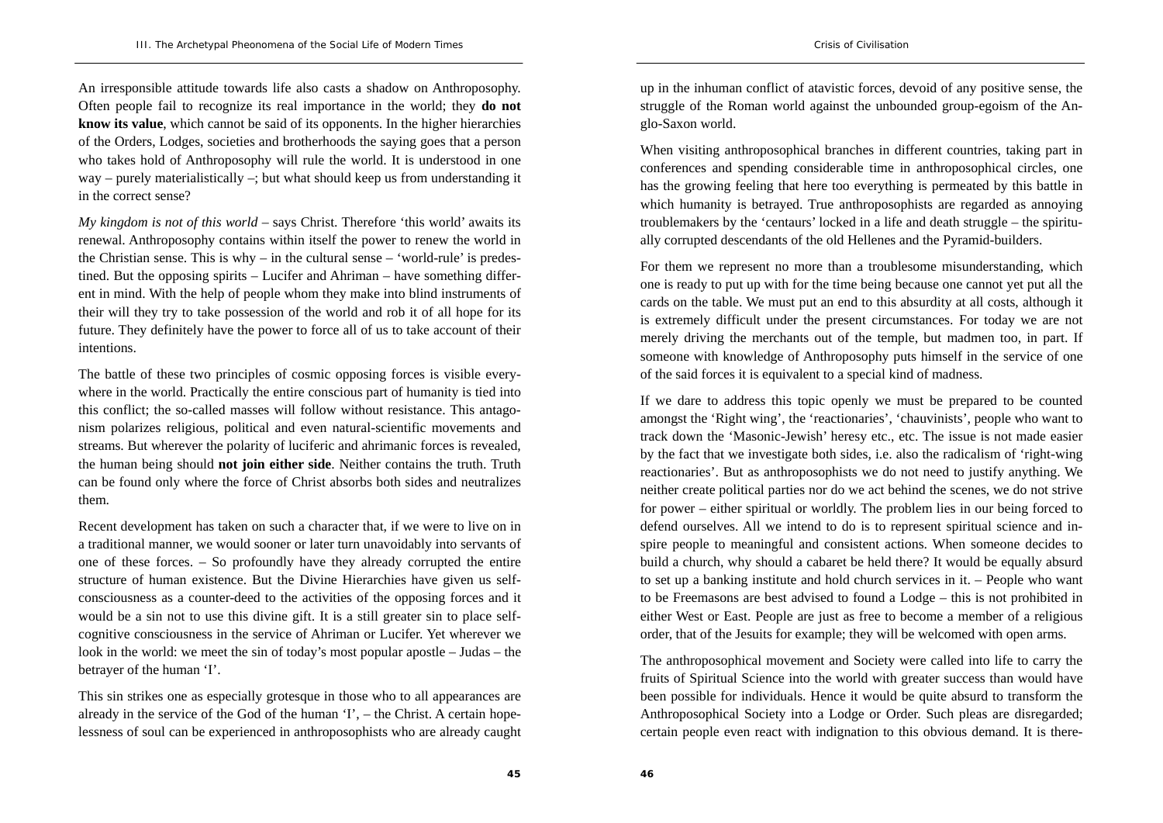An irresponsible attitude towards life also casts a shadow on Anthroposophy. Often people fail to recognize its real importance in the world; they **do not know its value**, which cannot be said of its opponents. In the higher hierarchies of the Orders, Lodges, societies and brotherhoods the saying goes that a person who takes hold of Anthroposophy will rule the world. It is understood in one way – purely materialistically –; but what should keep us from understanding it in the correct sense?

*My kingdom is not of this world* – says Christ. Therefore 'this world' awaits its renewal. Anthroposophy contains within itself the power to renew the world in the Christian sense. This is  $why - in$  the cultural sense – 'world-rule' is predestined. But the opposing spirits – Lucifer and Ahriman – have something different in mind. With the help of people whom they make into blind instruments of their will they try to take possession of the world and rob it of all hope for its future. They definitely have the power to force all of us to take account of their intentions.

The battle of these two principles of cosmic opposing forces is visible everywhere in the world. Practically the entire conscious part of humanity is tied into this conflict; the so-called masses will follow without resistance. This antagonism polarizes religious, political and even natural-scientific movements and streams. But wherever the polarity of luciferic and ahrimanic forces is revealed, the human being should **not join either side**. Neither contains the truth. Truth can be found only where the force of Christ absorbs both sides and neutralizes them.

Recent development has taken on such a character that, if we were to live on in a traditional manner, we would sooner or later turn unavoidably into servants of one of these forces. – So profoundly have they already corrupted the entire structure of human existence. But the Divine Hierarchies have given us selfconsciousness as a counter-deed to the activities of the opposing forces and it would be a sin not to use this divine gift. It is a still greater sin to place selfcognitive consciousness in the service of Ahriman or Lucifer. Yet wherever we look in the world: we meet the sin of today's most popular apostle – Judas – the betrayer of the human 'I'.

This sin strikes one as especially grotesque in those who to all appearances are already in the service of the God of the human 'I', – the Christ. A certain hopelessness of soul can be experienced in anthroposophists who are already caught up in the inhuman conflict of atavistic forces, devoid of any positive sense, the struggle of the Roman world against the unbounded group-egoism of the Anglo-Saxon world.

When visiting anthroposophical branches in different countries, taking part in conferences and spending considerable time in anthroposophical circles, one has the growing feeling that here too everything is permeated by this battle in which humanity is betrayed. True anthroposophists are regarded as annoying troublemakers by the 'centaurs' locked in a life and death struggle – the spiritually corrupted descendants of the old Hellenes and the Pyramid-builders.

For them we represent no more than a troublesome misunderstanding, which one is ready to put up with for the time being because one cannot yet put all the cards on the table. We must put an end to this absurdity at all costs, although it is extremely difficult under the present circumstances. For today we are not merely driving the merchants out of the temple, but madmen too, in part. If someone with knowledge of Anthroposophy puts himself in the service of one of the said forces it is equivalent to a special kind of madness.

If we dare to address this topic openly we must be prepared to be counted amongst the 'Right wing', the 'reactionaries', 'chauvinists', people who want to track down the 'Masonic-Jewish' heresy etc., etc. The issue is not made easier by the fact that we investigate both sides, i.e. also the radicalism of 'right-wing reactionaries'. But as anthroposophists we do not need to justify anything. We neither create political parties nor do we act behind the scenes, we do not strive for power – either spiritual or worldly. The problem lies in our being forced to defend ourselves. All we intend to do is to represent spiritual science and inspire people to meaningful and consistent actions. When someone decides to build a church, why should a cabaret be held there? It would be equally absurd to set up a banking institute and hold church services in it. – People who want to be Freemasons are best advised to found a Lodge – this is not prohibited in either West or East. People are just as free to become a member of a religious order, that of the Jesuits for example; they will be welcomed with open arms.

The anthroposophical movement and Society were called into life to carry the fruits of Spiritual Science into the world with greater success than would have been possible for individuals. Hence it would be quite absurd to transform the Anthroposophical Society into a Lodge or Order. Such pleas are disregarded; certain people even react with indignation to this obvious demand. It is there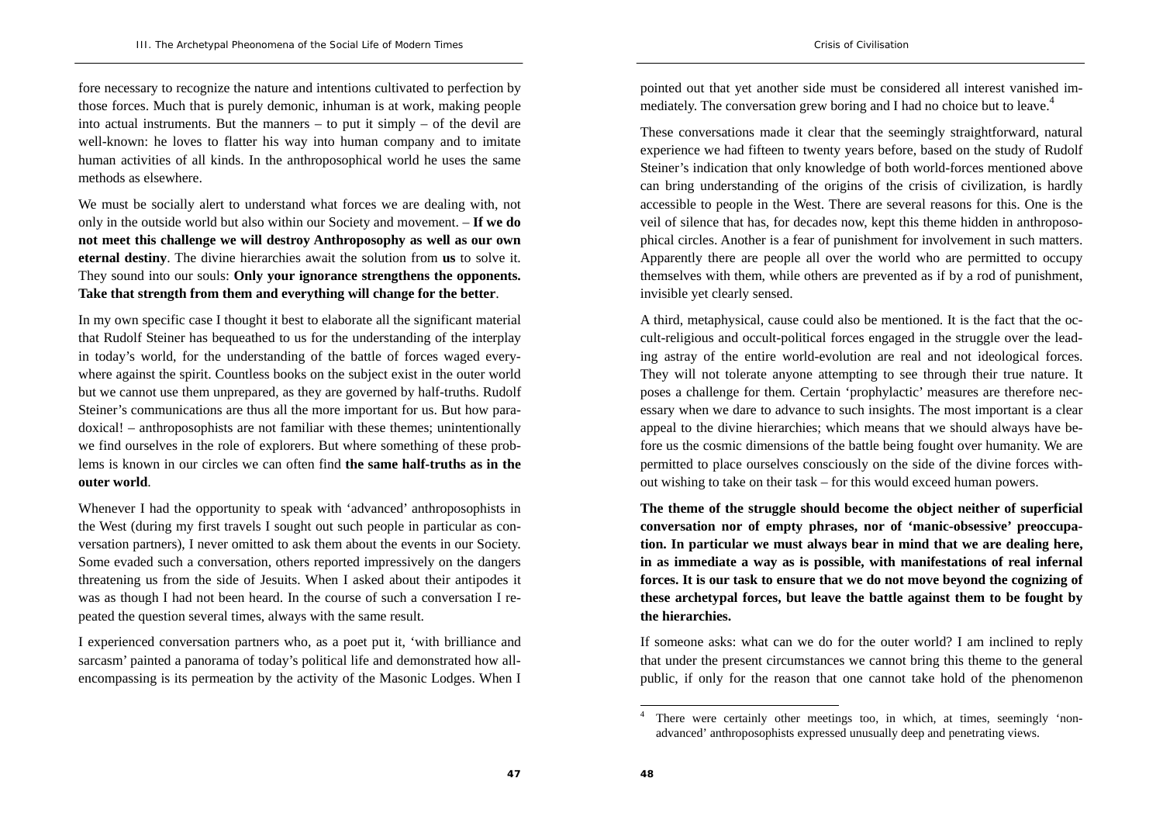fore necessary to recognize the nature and intentions cultivated to perfection by those forces. Much that is purely demonic, inhuman is at work, making people into actual instruments. But the manners  $-$  to put it simply  $-$  of the devil are well-known: he loves to flatter his way into human company and to imitate human activities of all kinds. In the anthroposophical world he uses the same methods as elsewhere.

We must be socially alert to understand what forces we are dealing with, not only in the outside world but also within our Society and movement. – **If we do not meet this challenge we will destroy Anthroposophy as well as our own eternal destiny**. The divine hierarchies await the solution from **us** to solve it. They sound into our souls: **Only your ignorance strengthens the opponents. Take that strength from them and everything will change for the better**.

In my own specific case I thought it best to elaborate all the significant material that Rudolf Steiner has bequeathed to us for the understanding of the interplay in today's world, for the understanding of the battle of forces waged everywhere against the spirit. Countless books on the subject exist in the outer world but we cannot use them unprepared, as they are governed by half-truths. Rudolf Steiner's communications are thus all the more important for us. But how paradoxical! – anthroposophists are not familiar with these themes; unintentionally we find ourselves in the role of explorers. But where something of these problems is known in our circles we can often find **the same half-truths as in the outer world**.

Whenever I had the opportunity to speak with 'advanced' anthroposophists in the West (during my first travels I sought out such people in particular as conversation partners), I never omitted to ask them about the events in our Society. Some evaded such a conversation, others reported impressively on the dangers threatening us from the side of Jesuits. When I asked about their antipodes it was as though I had not been heard. In the course of such a conversation I repeated the question several times, always with the same result.

I experienced conversation partners who, as a poet put it, 'with brilliance and sarcasm' painted a panorama of today's political life and demonstrated how allencompassing is its permeation by the activity of the Masonic Lodges. When I pointed out that yet another side must be considered all interest vanished immediately. The conversation grew boring and I had no choice but to leave.<sup>4</sup>

These conversations made it clear that the seemingly straightforward, natural experience we had fifteen to twenty years before, based on the study of Rudolf Steiner's indication that only knowledge of both world-forces mentioned above can bring understanding of the origins of the crisis of civilization, is hardly accessible to people in the West. There are several reasons for this. One is the veil of silence that has, for decades now, kept this theme hidden in anthroposophical circles. Another is a fear of punishment for involvement in such matters. Apparently there are people all over the world who are permitted to occupy themselves with them, while others are prevented as if by a rod of punishment, invisible yet clearly sensed.

A third, metaphysical, cause could also be mentioned. It is the fact that the occult-religious and occult-political forces engaged in the struggle over the leading astray of the entire world-evolution are real and not ideological forces. They will not tolerate anyone attempting to see through their true nature. It poses a challenge for them. Certain 'prophylactic' measures are therefore necessary when we dare to advance to such insights. The most important is a clear appeal to the divine hierarchies; which means that we should always have before us the cosmic dimensions of the battle being fought over humanity. We are permitted to place ourselves consciously on the side of the divine forces without wishing to take on their task – for this would exceed human powers.

**The theme of the struggle should become the object neither of superficial conversation nor of empty phrases, nor of 'manic-obsessive' preoccupation. In particular we must always bear in mind that we are dealing here, in as immediate a way as is possible, with manifestations of real infernal forces. It is our task to ensure that we do not move beyond the cognizing of these archetypal forces, but leave the battle against them to be fought by the hierarchies.** 

If someone asks: what can we do for the outer world? I am inclined to reply that under the present circumstances we cannot bring this theme to the general public, if only for the reason that one cannot take hold of the phenomenon

There were certainly other meetings too, in which, at times, seemingly 'nonadvanced' anthroposophists expressed unusually deep and penetrating views.